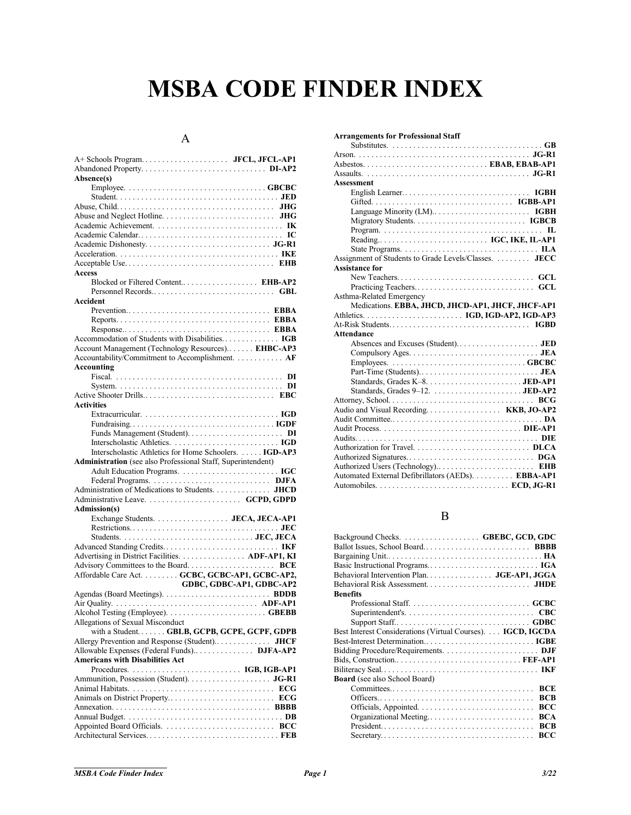# **MSBA CODE FINDER INDEX**

## A

| Absence(s)                                                   |
|--------------------------------------------------------------|
|                                                              |
|                                                              |
|                                                              |
|                                                              |
|                                                              |
|                                                              |
|                                                              |
|                                                              |
| <b>Access</b>                                                |
| Blocked or Filtered Content EHB-AP2                          |
|                                                              |
| <b>Accident</b>                                              |
|                                                              |
|                                                              |
|                                                              |
|                                                              |
| Account Management (Technology Resources) EHBC-AP3           |
| Accountability/Commitment to Accomplishment. AF              |
| Accounting                                                   |
|                                                              |
|                                                              |
| <b>Activities</b>                                            |
|                                                              |
|                                                              |
|                                                              |
|                                                              |
| Interscholastic Athletics for Home Schoolers.  IGD-AP3       |
|                                                              |
| Administration (see also Professional Staff, Superintendent) |
|                                                              |
|                                                              |
| Administration of Medications to Students. JHCD              |
|                                                              |
| Admission(s)                                                 |
| Exchange Students. JECA, JECA-AP1                            |
|                                                              |
|                                                              |
|                                                              |
| Advertising in District Facilities. ADF-AP1, KI              |
| Affordable Care Act. GCBC, GCBC-AP1, GCBC-AP2,               |
| GDBC, GDBC-AP1, GDBC-AP2                                     |
|                                                              |
|                                                              |
|                                                              |
| Allegations of Sexual Misconduct                             |
| with a Student GBLB, GCPB, GCPE, GCPF, GDPB                  |
|                                                              |
| Allowable Expenses (Federal Funds) DJFA-AP2                  |
| <b>Americans with Disabilities Act</b>                       |
|                                                              |
|                                                              |
|                                                              |
|                                                              |
|                                                              |
|                                                              |

| <b>Arrangements for Professional Staff</b>                                                     |
|------------------------------------------------------------------------------------------------|
|                                                                                                |
|                                                                                                |
|                                                                                                |
|                                                                                                |
| <b>Assessment</b>                                                                              |
|                                                                                                |
|                                                                                                |
|                                                                                                |
|                                                                                                |
|                                                                                                |
|                                                                                                |
| State Programs. $\dots \dots \dots \dots \dots \dots \dots \dots \dots \dots \dots \text{ILA}$ |
| Assignment of Students to Grade Levels/Classes.  JECC                                          |
| <b>Assistance for</b>                                                                          |
|                                                                                                |
|                                                                                                |
| Asthma-Related Emergency                                                                       |
| Medications. EBBA, JHCD, JHCD-AP1, JHCF, JHCF-AP1                                              |
|                                                                                                |
|                                                                                                |
|                                                                                                |
| <b>Attendance</b>                                                                              |
|                                                                                                |
|                                                                                                |
|                                                                                                |
|                                                                                                |
|                                                                                                |
|                                                                                                |
|                                                                                                |
|                                                                                                |
|                                                                                                |
|                                                                                                |
|                                                                                                |
|                                                                                                |
|                                                                                                |
|                                                                                                |
| Automated External Defibrillators (AEDs). EBBA-AP1                                             |

#### B

| Background Checks.  GBEBC, GCD, GDC                                                                     |
|---------------------------------------------------------------------------------------------------------|
|                                                                                                         |
|                                                                                                         |
|                                                                                                         |
| Behavioral Intervention Plan. JGE-AP1, JGGA                                                             |
|                                                                                                         |
| <b>Benefits</b>                                                                                         |
|                                                                                                         |
|                                                                                                         |
|                                                                                                         |
| Best Interest Considerations (Virtual Courses). IGCD, IGCDA                                             |
|                                                                                                         |
|                                                                                                         |
|                                                                                                         |
|                                                                                                         |
| <b>Board</b> (see also School Board)                                                                    |
| <b>BCE</b>                                                                                              |
| <b>BCB</b>                                                                                              |
| <b>BCC</b>                                                                                              |
| <b>BCA</b><br>Organizational Meeting                                                                    |
| $President. \ldots \ldots \ldots \ldots \ldots \ldots \ldots \ldots \ldots \ldots \ldots$<br><b>BCB</b> |
| BCC                                                                                                     |
|                                                                                                         |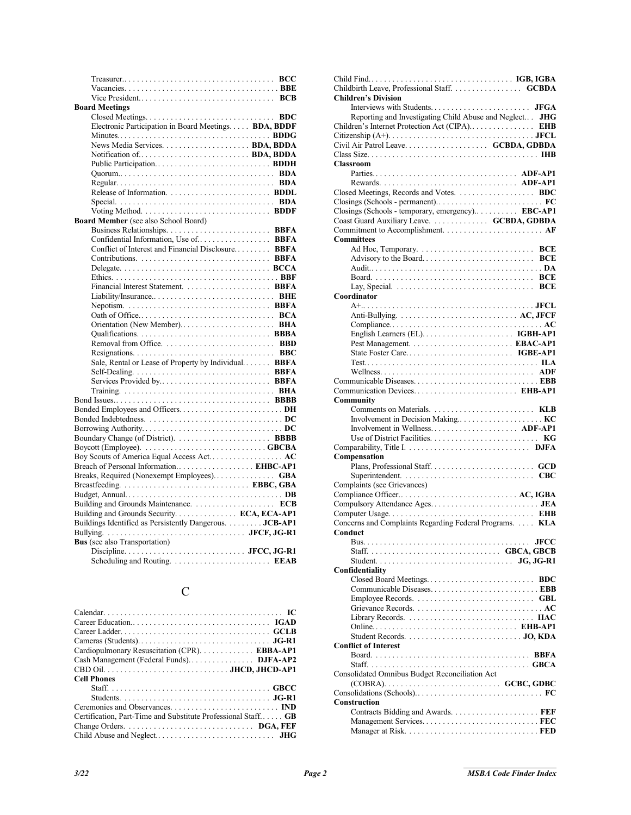| <b>Board Meetings</b>                                                   |  |
|-------------------------------------------------------------------------|--|
|                                                                         |  |
| Electronic Participation in Board Meetings BDA, BDDF                    |  |
|                                                                         |  |
|                                                                         |  |
|                                                                         |  |
|                                                                         |  |
|                                                                         |  |
|                                                                         |  |
|                                                                         |  |
|                                                                         |  |
| Voting Method. $\dots \dots \dots \dots \dots \dots \dots \dots$ . BDDF |  |
| <b>Board Member</b> (see also School Board)                             |  |
|                                                                         |  |
| Confidential Information, Use of BBFA                                   |  |
| Conflict of Interest and Financial Disclosure BBFA                      |  |
|                                                                         |  |
|                                                                         |  |
|                                                                         |  |
|                                                                         |  |
|                                                                         |  |
|                                                                         |  |
|                                                                         |  |
|                                                                         |  |
|                                                                         |  |
|                                                                         |  |
| Sale, Rental or Lease of Property by Individual BBFA                    |  |
|                                                                         |  |
| Services Provided by BBFA                                               |  |
|                                                                         |  |
|                                                                         |  |
| Bonded Employees and OfficersDH                                         |  |
|                                                                         |  |
|                                                                         |  |
|                                                                         |  |
|                                                                         |  |
| Boy Scouts of America Equal Access Act AC                               |  |
| Breach of Personal Information EHBC-AP1                                 |  |
| Breaks, Required (Nonexempt Employees) GBA                              |  |
|                                                                         |  |
|                                                                         |  |
|                                                                         |  |
| Building and Grounds Security. ECA, ECA-AP1                             |  |
| Buildings Identified as Persistently Dangerous. JCB-AP1                 |  |
|                                                                         |  |
| <b>Bus</b> (see also Transportation)                                    |  |
|                                                                         |  |
|                                                                         |  |
|                                                                         |  |

# C

| Cardiopulmonary Resuscitation (CPR). EBBA-AP1                 |
|---------------------------------------------------------------|
|                                                               |
|                                                               |
| <b>Cell Phones</b>                                            |
|                                                               |
|                                                               |
|                                                               |
| Certification, Part-Time and Substitute Professional Staff GB |
|                                                               |
|                                                               |

| Childbirth Leave, Professional Staff. GCBDA              |
|----------------------------------------------------------|
| <b>Children's Division</b>                               |
| Reporting and Investigating Child Abuse and Neglect JHG  |
| Children's Internet Protection Act (CIPA) EHB            |
|                                                          |
|                                                          |
|                                                          |
| <b>Classroom</b>                                         |
|                                                          |
|                                                          |
| Closed Meetings, Records and Votes. BDC                  |
| Closings (Schools - temporary, emergency) EBC-AP1        |
| Coast Guard Auxiliary Leave. GCBDA, GDBDA                |
|                                                          |
| <b>Committees</b>                                        |
|                                                          |
|                                                          |
|                                                          |
|                                                          |
|                                                          |
| Coordinator                                              |
|                                                          |
|                                                          |
|                                                          |
|                                                          |
|                                                          |
|                                                          |
|                                                          |
|                                                          |
| Communication Devices EHB-AP1                            |
| Community                                                |
|                                                          |
|                                                          |
|                                                          |
|                                                          |
| Compensation                                             |
|                                                          |
|                                                          |
| Complaints (see Grievances)                              |
|                                                          |
|                                                          |
| Concerns and Complaints Regarding Federal Programs.  KLA |
| Conduct                                                  |
|                                                          |
|                                                          |
|                                                          |
|                                                          |
| Confidentiality                                          |
|                                                          |
|                                                          |
|                                                          |
|                                                          |
|                                                          |
|                                                          |
|                                                          |
| <b>Conflict of Interest</b>                              |
|                                                          |
| Consolidated Omnibus Budget Reconciliation Act           |
|                                                          |
|                                                          |
| Construction                                             |
|                                                          |
|                                                          |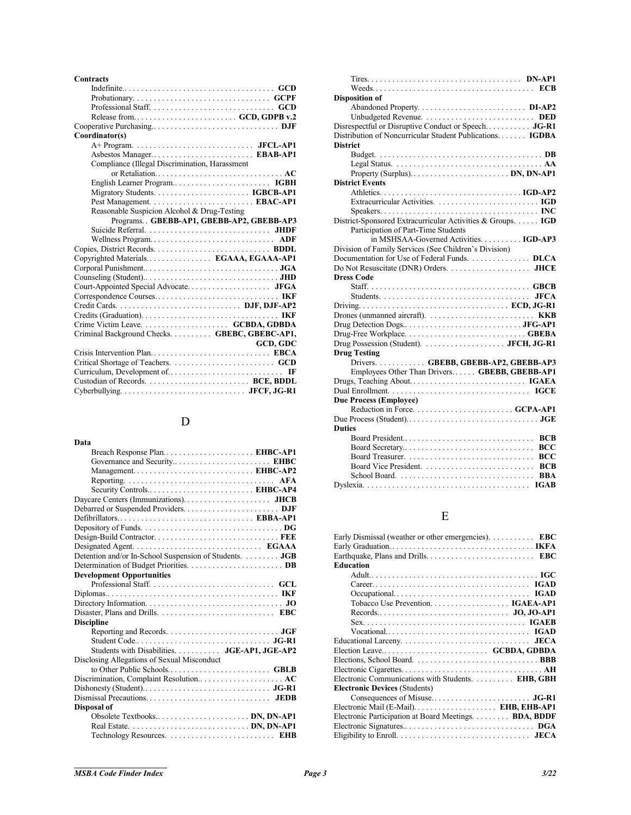#### **Contracts**

| Coordinator(s)                                 |
|------------------------------------------------|
|                                                |
|                                                |
| Compliance (Illegal Discrimination, Harassment |
| or Retaliation AC                              |
|                                                |
|                                                |
|                                                |
| Reasonable Suspicion Alcohol & Drug-Testing    |
| Programs. . GBEBB-AP1, GBEBB-AP2, GBEBB-AP3    |
|                                                |
| Wellness Program ADF                           |
|                                                |
| Copyrighted Materials EGAAA, EGAAA-AP1         |
|                                                |
|                                                |
|                                                |
|                                                |
|                                                |
|                                                |
|                                                |
| Criminal Background Checks. GBEBC, GBEBC-AP1,  |
| <b>GCD, GDC</b>                                |
|                                                |
|                                                |
|                                                |
|                                                |
|                                                |

# D

| Data                                                   |
|--------------------------------------------------------|
| Breach Response Plan EHBC-AP1                          |
|                                                        |
|                                                        |
|                                                        |
|                                                        |
|                                                        |
|                                                        |
| Defibrillators EBBA-AP1                                |
|                                                        |
|                                                        |
|                                                        |
| Detention and/or In-School Suspension of Students. JGB |
|                                                        |
| <b>Development Opportunities</b>                       |
|                                                        |
|                                                        |
|                                                        |
|                                                        |
| <b>Discipline</b>                                      |
|                                                        |
|                                                        |
| Students with Disabilities.  JGE-AP1, JGE-AP2          |
| Disclosing Allegations of Sexual Misconduct            |
|                                                        |
| Discrimination, Complaint Resolution AC                |
|                                                        |
|                                                        |
| Disposal of                                            |
| Obsolete TextbooksDN, DN-AP1                           |
|                                                        |
|                                                        |

| <b>Disposition of</b>                                       |
|-------------------------------------------------------------|
|                                                             |
|                                                             |
| Disrespectful or Disruptive Conduct or Speech JG-R1         |
| Distribution of Noncurricular Student Publications IGDBA    |
| <b>District</b>                                             |
|                                                             |
|                                                             |
|                                                             |
| <b>District Events</b>                                      |
|                                                             |
|                                                             |
|                                                             |
| District-Sponsored Extracurricular Activities & Groups. IGD |
| Participation of Part-Time Students                         |
| in MSHSAA-Governed Activities. IGD-AP3                      |
| Division of Family Services (See Children's Division)       |
| Documentation for Use of Federal Funds. DLCA                |
|                                                             |
| <b>Dress Code</b>                                           |
|                                                             |
|                                                             |
|                                                             |
|                                                             |
|                                                             |
|                                                             |
|                                                             |
| <b>Drug Testing</b>                                         |
| Drivers GBEBB, GBEBB-AP2, GBEBB-AP3                         |
| Employees Other Than Drivers GBEBB, GBEBB-AP1               |
|                                                             |
|                                                             |
| <b>Due Process (Employee)</b>                               |
|                                                             |
|                                                             |
| <b>Duties</b>                                               |
| Board President<br><b>BCB</b>                               |
| <b>BCC</b><br>Board Secretary                               |
| <b>BCC</b>                                                  |
| <b>BCB</b>                                                  |
| <b>BBA</b>                                                  |
|                                                             |
|                                                             |

# E

| Early Dismissal (weather or other emergencies).  EBC |  |
|------------------------------------------------------|--|
|                                                      |  |
|                                                      |  |
| <b>Education</b>                                     |  |
|                                                      |  |
|                                                      |  |
|                                                      |  |
|                                                      |  |
|                                                      |  |
|                                                      |  |
|                                                      |  |
|                                                      |  |
|                                                      |  |
|                                                      |  |
|                                                      |  |
| Electronic Communications with Students. EHB, GBH    |  |
| <b>Electronic Devices (Students)</b>                 |  |
|                                                      |  |
|                                                      |  |
| Electronic Participation at Board Meetings BDA, BDDF |  |
|                                                      |  |
|                                                      |  |
|                                                      |  |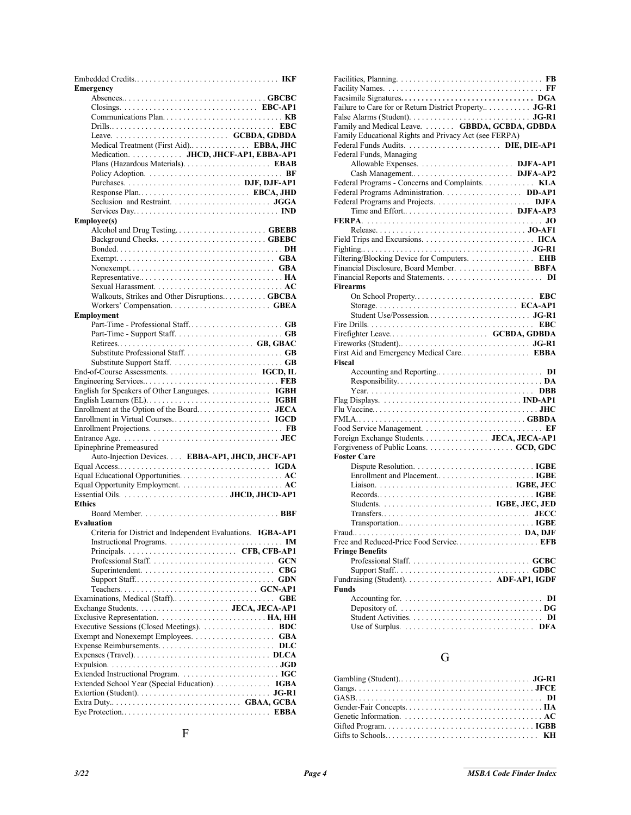| <b>Emergency</b>                                                                             |
|----------------------------------------------------------------------------------------------|
|                                                                                              |
|                                                                                              |
|                                                                                              |
|                                                                                              |
|                                                                                              |
| Medical Treatment (First Aid) EBBA, JHC                                                      |
| Medication. JHCD, JHCF-AP1, EBBA-AP1                                                         |
|                                                                                              |
|                                                                                              |
|                                                                                              |
| Response Plan EBCA, JHD                                                                      |
|                                                                                              |
|                                                                                              |
| <b>Employee(s)</b>                                                                           |
|                                                                                              |
|                                                                                              |
|                                                                                              |
|                                                                                              |
|                                                                                              |
|                                                                                              |
| Walkouts, Strikes and Other Disruptions GBCBA                                                |
|                                                                                              |
| Employment                                                                                   |
|                                                                                              |
|                                                                                              |
|                                                                                              |
|                                                                                              |
|                                                                                              |
|                                                                                              |
|                                                                                              |
|                                                                                              |
|                                                                                              |
|                                                                                              |
|                                                                                              |
| Entrance Age. $\dots \dots \dots \dots \dots \dots \dots \dots \dots \dots \dots \text{JEC}$ |
| Epinephrine Premeasured                                                                      |
| Auto-Injection Devices EBBA-AP1, JHCD, JHCF-AP1                                              |
|                                                                                              |
| Equal Educational Opportunities AC                                                           |
|                                                                                              |
|                                                                                              |
| <b>Ethics</b>                                                                                |
|                                                                                              |
| <b>Evaluation</b>                                                                            |
| Criteria for District and Independent Evaluations. IGBA-AP1                                  |
|                                                                                              |
|                                                                                              |
|                                                                                              |
|                                                                                              |
|                                                                                              |
|                                                                                              |
|                                                                                              |
|                                                                                              |
|                                                                                              |
|                                                                                              |
| Executive Sessions (Closed Meetings). BDC                                                    |
|                                                                                              |
|                                                                                              |
|                                                                                              |
|                                                                                              |
| Extended School Year (Special Education). 1GBA                                               |
|                                                                                              |
|                                                                                              |

| Failure to Care for or Return District Property JG-R1                                               |
|-----------------------------------------------------------------------------------------------------|
|                                                                                                     |
| Family and Medical Leave. GBBDA, GCBDA, GDBDA                                                       |
| Family Educational Rights and Privacy Act (see FERPA)                                               |
|                                                                                                     |
| Federal Funds, Managing                                                                             |
| Allowable Expenses.  DJFA-AP1                                                                       |
|                                                                                                     |
| Federal Programs - Concerns and Complaints KLA                                                      |
| Federal Programs Administration. DD-AP1                                                             |
|                                                                                                     |
|                                                                                                     |
|                                                                                                     |
|                                                                                                     |
|                                                                                                     |
|                                                                                                     |
| Filtering/Blocking Device for Computers. EHB                                                        |
| Financial Disclosure, Board Member.  BBFA                                                           |
|                                                                                                     |
| <b>Firearms</b>                                                                                     |
|                                                                                                     |
|                                                                                                     |
|                                                                                                     |
|                                                                                                     |
|                                                                                                     |
|                                                                                                     |
| Fiscal                                                                                              |
|                                                                                                     |
|                                                                                                     |
|                                                                                                     |
|                                                                                                     |
|                                                                                                     |
|                                                                                                     |
|                                                                                                     |
|                                                                                                     |
|                                                                                                     |
|                                                                                                     |
| <b>Foster Care</b>                                                                                  |
|                                                                                                     |
|                                                                                                     |
|                                                                                                     |
|                                                                                                     |
|                                                                                                     |
|                                                                                                     |
| $Transportation. \ldots \ldots \ldots \ldots \ldots \ldots \ldots \ldots \ldots \ldots \text{IGBE}$ |
| Fraud                                                                                               |
|                                                                                                     |
| <b>Fringe Benefits</b>                                                                              |
|                                                                                                     |
|                                                                                                     |
|                                                                                                     |
| <b>Funds</b>                                                                                        |
|                                                                                                     |
|                                                                                                     |
| DI<br>Use of Surplus. $\dots \dots \dots \dots \dots \dots \dots \dots \dots$ . DFA                 |

### G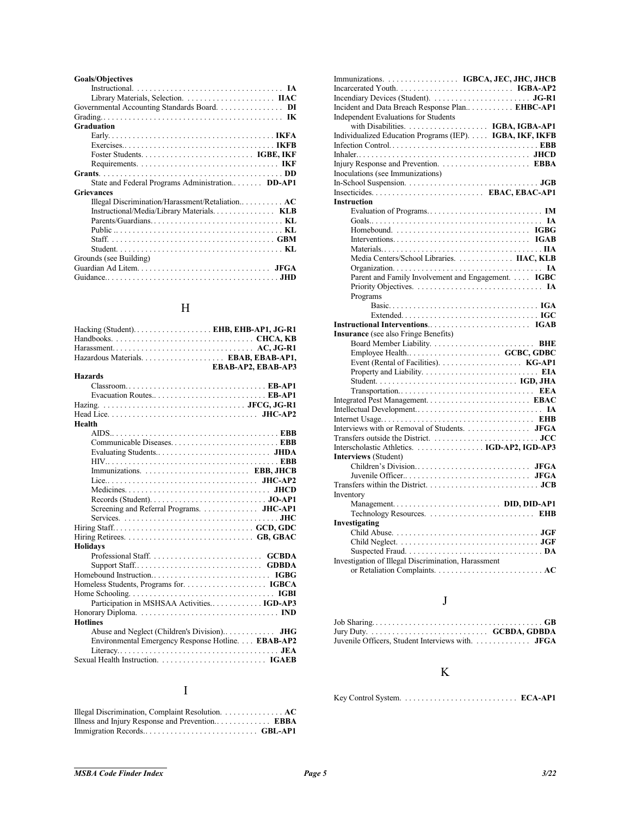| <b>Goals/Objectives</b>                            |
|----------------------------------------------------|
|                                                    |
|                                                    |
| Governmental Accounting Standards Board. DI        |
|                                                    |
| Graduation                                         |
|                                                    |
|                                                    |
|                                                    |
|                                                    |
|                                                    |
| State and Federal Programs Administration DD-AP1   |
| <b>Grievances</b>                                  |
| Illegal Discrimination/Harassment/Retaliation $AC$ |
| Instructional/Media/Library Materials KLB          |
|                                                    |
|                                                    |
|                                                    |
|                                                    |
| Grounds (see Building)                             |
|                                                    |
|                                                    |

# $\,$  H

| Hazardous Materials EBAB, EBAB-AP1,                                                             |                    |
|-------------------------------------------------------------------------------------------------|--------------------|
|                                                                                                 | EBAB-AP2, EBAB-AP3 |
| <b>Hazards</b>                                                                                  |                    |
| $\text{Classroom} \ldots \ldots \ldots \ldots \ldots \ldots \ldots \ldots \ldots \text{EB-AP1}$ |                    |
|                                                                                                 |                    |
|                                                                                                 |                    |
|                                                                                                 |                    |
| Health                                                                                          |                    |
|                                                                                                 |                    |
|                                                                                                 |                    |
|                                                                                                 |                    |
|                                                                                                 |                    |
|                                                                                                 |                    |
|                                                                                                 |                    |
|                                                                                                 |                    |
|                                                                                                 |                    |
| Screening and Referral Programs. JHC-AP1                                                        |                    |
|                                                                                                 |                    |
|                                                                                                 |                    |
|                                                                                                 |                    |
| <b>Holidays</b>                                                                                 |                    |
|                                                                                                 |                    |
|                                                                                                 |                    |
|                                                                                                 |                    |
|                                                                                                 |                    |
|                                                                                                 |                    |
| Participation in MSHSAA Activities IGD-AP3                                                      |                    |
|                                                                                                 |                    |
| <b>Hotlines</b>                                                                                 |                    |
|                                                                                                 |                    |
| Environmental Emergency Response Hotline. <b>EBAB-AP2</b>                                       |                    |
|                                                                                                 |                    |
|                                                                                                 |                    |

#### I

#### Illegal Discrimination, Complaint Resolution. . . . . . . . . . . . . . . **AC** Illness and Injury Response and Prevention.. . . . . . . . . . . . . **EBBA** Immigration Records.. . . . . . . . . . . . . . . . . . . . . . . . . . . **GBL-AP1**

| Immunizations. IGBCA, JEC, JHC, JHCB                      |
|-----------------------------------------------------------|
|                                                           |
|                                                           |
| Incident and Data Breach Response Plan EHBC-AP1           |
| <b>Independent Evaluations for Students</b>               |
|                                                           |
|                                                           |
| Individualized Education Programs (IEP). IGBA, IKF, IKFB  |
|                                                           |
|                                                           |
|                                                           |
| Inoculations (see Immunizations)                          |
|                                                           |
| Insecticides EBAC, EBAC-AP1                               |
| <b>Instruction</b>                                        |
|                                                           |
|                                                           |
|                                                           |
|                                                           |
|                                                           |
| Media Centers/School Libraries. IIAC. KLB                 |
|                                                           |
| Parent and Family Involvement and Engagement. <b>IGBC</b> |
|                                                           |
| Programs                                                  |
|                                                           |
|                                                           |
|                                                           |
| <b>Insurance</b> (see also Fringe Benefits)               |
|                                                           |
| Employee Health GCBC, GDBC                                |
|                                                           |
|                                                           |
|                                                           |
|                                                           |
|                                                           |
|                                                           |
|                                                           |
| Interviews with or Removal of Students. JFGA              |
|                                                           |
|                                                           |
| <b>Interviews</b> (Student)                               |
|                                                           |
|                                                           |
|                                                           |
| Inventory                                                 |
|                                                           |
|                                                           |
| Technology Resources.  EHB                                |
| Investigating                                             |
|                                                           |
|                                                           |
|                                                           |
| Investigation of Illegal Discrimination, Harassment       |
|                                                           |

## J

| Juvenile Officers, Student Interviews with.  JFGA |  |
|---------------------------------------------------|--|

### K

Key Control System. . . . . . . . . . . . . . . . . . . . . . . . . . . . **ECA-AP1**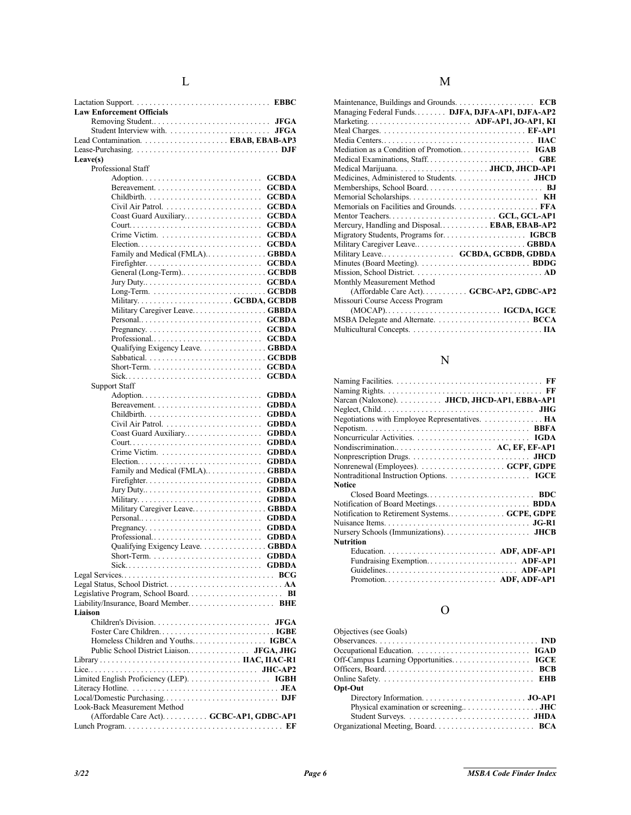| Leave(s)<br>Professional Staff<br><b>GCBDA</b><br><b>GCBDA</b><br><b>GCBDA</b><br><b>GCBDA</b><br>Coast Guard Auxiliary<br><b>GCBDA</b><br><b>GCBDA</b><br><b>GCBDA</b><br><b>GCBDA</b><br>Family and Medical (FMLA)GBBDA<br><b>GCBDA</b><br><b>GCBDA</b><br>Military GCBDA, GCBDB<br>Military Caregiver LeaveGBBDA<br><b>GCBDA</b><br>Personal<br><b>GCBDA</b><br>Professional<br><b>GCBDA</b><br>Qualifying Exigency Leave. GBBDA<br><b>GCBDA</b><br><b>Support Staff</b><br><b>GDBDA</b><br><b>GDBDA</b><br><b>GDBDA</b><br><b>GDBDA</b><br><b>GDBDA</b><br>Coast Guard Auxiliary<br><b>GDBDA</b><br>Crime Victim. $\dots \dots \dots \dots \dots \dots \dots \dots$<br><b>GDBDA</b><br><b>GDBDA</b><br>Family and Medical (FMLA)GBBDA<br><b>GDBDA</b><br><b>GDBDA</b><br>Military<br><b>GDBDA</b><br>Military Caregiver LeaveGBBDA<br>Personal<br><b>GDBDA</b><br><b>GDBDA</b><br>Qualifying Exigency Leave. GBBDA<br>. <b>GDBDA</b><br>Short-Term. .<br>Sick GDBDA<br>Liaison<br>Public School District Liaison JFGA, JHG<br>$Local/Domestic \; Purchasing. \ldots \ldots \ldots \ldots \ldots \ldots \ldots \; DJF$<br>Look-Back Measurement Method<br>(Affordable Care Act). GCBC-AP1, GDBC-AP1 | <b>Law Enforcement Officials</b> |  |
|--------------------------------------------------------------------------------------------------------------------------------------------------------------------------------------------------------------------------------------------------------------------------------------------------------------------------------------------------------------------------------------------------------------------------------------------------------------------------------------------------------------------------------------------------------------------------------------------------------------------------------------------------------------------------------------------------------------------------------------------------------------------------------------------------------------------------------------------------------------------------------------------------------------------------------------------------------------------------------------------------------------------------------------------------------------------------------------------------------------------------------------------------------------------------------------------------------|----------------------------------|--|
|                                                                                                                                                                                                                                                                                                                                                                                                                                                                                                                                                                                                                                                                                                                                                                                                                                                                                                                                                                                                                                                                                                                                                                                                        |                                  |  |
|                                                                                                                                                                                                                                                                                                                                                                                                                                                                                                                                                                                                                                                                                                                                                                                                                                                                                                                                                                                                                                                                                                                                                                                                        |                                  |  |
|                                                                                                                                                                                                                                                                                                                                                                                                                                                                                                                                                                                                                                                                                                                                                                                                                                                                                                                                                                                                                                                                                                                                                                                                        |                                  |  |
|                                                                                                                                                                                                                                                                                                                                                                                                                                                                                                                                                                                                                                                                                                                                                                                                                                                                                                                                                                                                                                                                                                                                                                                                        |                                  |  |
|                                                                                                                                                                                                                                                                                                                                                                                                                                                                                                                                                                                                                                                                                                                                                                                                                                                                                                                                                                                                                                                                                                                                                                                                        |                                  |  |
|                                                                                                                                                                                                                                                                                                                                                                                                                                                                                                                                                                                                                                                                                                                                                                                                                                                                                                                                                                                                                                                                                                                                                                                                        |                                  |  |
|                                                                                                                                                                                                                                                                                                                                                                                                                                                                                                                                                                                                                                                                                                                                                                                                                                                                                                                                                                                                                                                                                                                                                                                                        |                                  |  |
|                                                                                                                                                                                                                                                                                                                                                                                                                                                                                                                                                                                                                                                                                                                                                                                                                                                                                                                                                                                                                                                                                                                                                                                                        |                                  |  |
|                                                                                                                                                                                                                                                                                                                                                                                                                                                                                                                                                                                                                                                                                                                                                                                                                                                                                                                                                                                                                                                                                                                                                                                                        |                                  |  |
|                                                                                                                                                                                                                                                                                                                                                                                                                                                                                                                                                                                                                                                                                                                                                                                                                                                                                                                                                                                                                                                                                                                                                                                                        |                                  |  |
|                                                                                                                                                                                                                                                                                                                                                                                                                                                                                                                                                                                                                                                                                                                                                                                                                                                                                                                                                                                                                                                                                                                                                                                                        |                                  |  |
|                                                                                                                                                                                                                                                                                                                                                                                                                                                                                                                                                                                                                                                                                                                                                                                                                                                                                                                                                                                                                                                                                                                                                                                                        |                                  |  |
|                                                                                                                                                                                                                                                                                                                                                                                                                                                                                                                                                                                                                                                                                                                                                                                                                                                                                                                                                                                                                                                                                                                                                                                                        |                                  |  |
|                                                                                                                                                                                                                                                                                                                                                                                                                                                                                                                                                                                                                                                                                                                                                                                                                                                                                                                                                                                                                                                                                                                                                                                                        |                                  |  |
|                                                                                                                                                                                                                                                                                                                                                                                                                                                                                                                                                                                                                                                                                                                                                                                                                                                                                                                                                                                                                                                                                                                                                                                                        |                                  |  |
|                                                                                                                                                                                                                                                                                                                                                                                                                                                                                                                                                                                                                                                                                                                                                                                                                                                                                                                                                                                                                                                                                                                                                                                                        |                                  |  |
|                                                                                                                                                                                                                                                                                                                                                                                                                                                                                                                                                                                                                                                                                                                                                                                                                                                                                                                                                                                                                                                                                                                                                                                                        |                                  |  |
|                                                                                                                                                                                                                                                                                                                                                                                                                                                                                                                                                                                                                                                                                                                                                                                                                                                                                                                                                                                                                                                                                                                                                                                                        |                                  |  |
|                                                                                                                                                                                                                                                                                                                                                                                                                                                                                                                                                                                                                                                                                                                                                                                                                                                                                                                                                                                                                                                                                                                                                                                                        |                                  |  |
|                                                                                                                                                                                                                                                                                                                                                                                                                                                                                                                                                                                                                                                                                                                                                                                                                                                                                                                                                                                                                                                                                                                                                                                                        |                                  |  |
|                                                                                                                                                                                                                                                                                                                                                                                                                                                                                                                                                                                                                                                                                                                                                                                                                                                                                                                                                                                                                                                                                                                                                                                                        |                                  |  |
|                                                                                                                                                                                                                                                                                                                                                                                                                                                                                                                                                                                                                                                                                                                                                                                                                                                                                                                                                                                                                                                                                                                                                                                                        |                                  |  |
|                                                                                                                                                                                                                                                                                                                                                                                                                                                                                                                                                                                                                                                                                                                                                                                                                                                                                                                                                                                                                                                                                                                                                                                                        |                                  |  |
|                                                                                                                                                                                                                                                                                                                                                                                                                                                                                                                                                                                                                                                                                                                                                                                                                                                                                                                                                                                                                                                                                                                                                                                                        |                                  |  |
|                                                                                                                                                                                                                                                                                                                                                                                                                                                                                                                                                                                                                                                                                                                                                                                                                                                                                                                                                                                                                                                                                                                                                                                                        |                                  |  |
|                                                                                                                                                                                                                                                                                                                                                                                                                                                                                                                                                                                                                                                                                                                                                                                                                                                                                                                                                                                                                                                                                                                                                                                                        |                                  |  |
|                                                                                                                                                                                                                                                                                                                                                                                                                                                                                                                                                                                                                                                                                                                                                                                                                                                                                                                                                                                                                                                                                                                                                                                                        |                                  |  |
|                                                                                                                                                                                                                                                                                                                                                                                                                                                                                                                                                                                                                                                                                                                                                                                                                                                                                                                                                                                                                                                                                                                                                                                                        |                                  |  |
|                                                                                                                                                                                                                                                                                                                                                                                                                                                                                                                                                                                                                                                                                                                                                                                                                                                                                                                                                                                                                                                                                                                                                                                                        |                                  |  |
|                                                                                                                                                                                                                                                                                                                                                                                                                                                                                                                                                                                                                                                                                                                                                                                                                                                                                                                                                                                                                                                                                                                                                                                                        |                                  |  |
|                                                                                                                                                                                                                                                                                                                                                                                                                                                                                                                                                                                                                                                                                                                                                                                                                                                                                                                                                                                                                                                                                                                                                                                                        |                                  |  |
|                                                                                                                                                                                                                                                                                                                                                                                                                                                                                                                                                                                                                                                                                                                                                                                                                                                                                                                                                                                                                                                                                                                                                                                                        |                                  |  |
|                                                                                                                                                                                                                                                                                                                                                                                                                                                                                                                                                                                                                                                                                                                                                                                                                                                                                                                                                                                                                                                                                                                                                                                                        |                                  |  |
|                                                                                                                                                                                                                                                                                                                                                                                                                                                                                                                                                                                                                                                                                                                                                                                                                                                                                                                                                                                                                                                                                                                                                                                                        |                                  |  |
|                                                                                                                                                                                                                                                                                                                                                                                                                                                                                                                                                                                                                                                                                                                                                                                                                                                                                                                                                                                                                                                                                                                                                                                                        |                                  |  |
|                                                                                                                                                                                                                                                                                                                                                                                                                                                                                                                                                                                                                                                                                                                                                                                                                                                                                                                                                                                                                                                                                                                                                                                                        |                                  |  |
|                                                                                                                                                                                                                                                                                                                                                                                                                                                                                                                                                                                                                                                                                                                                                                                                                                                                                                                                                                                                                                                                                                                                                                                                        |                                  |  |
|                                                                                                                                                                                                                                                                                                                                                                                                                                                                                                                                                                                                                                                                                                                                                                                                                                                                                                                                                                                                                                                                                                                                                                                                        |                                  |  |
|                                                                                                                                                                                                                                                                                                                                                                                                                                                                                                                                                                                                                                                                                                                                                                                                                                                                                                                                                                                                                                                                                                                                                                                                        |                                  |  |
|                                                                                                                                                                                                                                                                                                                                                                                                                                                                                                                                                                                                                                                                                                                                                                                                                                                                                                                                                                                                                                                                                                                                                                                                        |                                  |  |
|                                                                                                                                                                                                                                                                                                                                                                                                                                                                                                                                                                                                                                                                                                                                                                                                                                                                                                                                                                                                                                                                                                                                                                                                        |                                  |  |
|                                                                                                                                                                                                                                                                                                                                                                                                                                                                                                                                                                                                                                                                                                                                                                                                                                                                                                                                                                                                                                                                                                                                                                                                        |                                  |  |
|                                                                                                                                                                                                                                                                                                                                                                                                                                                                                                                                                                                                                                                                                                                                                                                                                                                                                                                                                                                                                                                                                                                                                                                                        |                                  |  |
|                                                                                                                                                                                                                                                                                                                                                                                                                                                                                                                                                                                                                                                                                                                                                                                                                                                                                                                                                                                                                                                                                                                                                                                                        |                                  |  |
|                                                                                                                                                                                                                                                                                                                                                                                                                                                                                                                                                                                                                                                                                                                                                                                                                                                                                                                                                                                                                                                                                                                                                                                                        |                                  |  |
|                                                                                                                                                                                                                                                                                                                                                                                                                                                                                                                                                                                                                                                                                                                                                                                                                                                                                                                                                                                                                                                                                                                                                                                                        |                                  |  |
|                                                                                                                                                                                                                                                                                                                                                                                                                                                                                                                                                                                                                                                                                                                                                                                                                                                                                                                                                                                                                                                                                                                                                                                                        |                                  |  |
|                                                                                                                                                                                                                                                                                                                                                                                                                                                                                                                                                                                                                                                                                                                                                                                                                                                                                                                                                                                                                                                                                                                                                                                                        |                                  |  |
|                                                                                                                                                                                                                                                                                                                                                                                                                                                                                                                                                                                                                                                                                                                                                                                                                                                                                                                                                                                                                                                                                                                                                                                                        |                                  |  |
|                                                                                                                                                                                                                                                                                                                                                                                                                                                                                                                                                                                                                                                                                                                                                                                                                                                                                                                                                                                                                                                                                                                                                                                                        |                                  |  |
|                                                                                                                                                                                                                                                                                                                                                                                                                                                                                                                                                                                                                                                                                                                                                                                                                                                                                                                                                                                                                                                                                                                                                                                                        |                                  |  |
|                                                                                                                                                                                                                                                                                                                                                                                                                                                                                                                                                                                                                                                                                                                                                                                                                                                                                                                                                                                                                                                                                                                                                                                                        |                                  |  |
|                                                                                                                                                                                                                                                                                                                                                                                                                                                                                                                                                                                                                                                                                                                                                                                                                                                                                                                                                                                                                                                                                                                                                                                                        |                                  |  |
|                                                                                                                                                                                                                                                                                                                                                                                                                                                                                                                                                                                                                                                                                                                                                                                                                                                                                                                                                                                                                                                                                                                                                                                                        |                                  |  |
|                                                                                                                                                                                                                                                                                                                                                                                                                                                                                                                                                                                                                                                                                                                                                                                                                                                                                                                                                                                                                                                                                                                                                                                                        |                                  |  |
|                                                                                                                                                                                                                                                                                                                                                                                                                                                                                                                                                                                                                                                                                                                                                                                                                                                                                                                                                                                                                                                                                                                                                                                                        |                                  |  |
|                                                                                                                                                                                                                                                                                                                                                                                                                                                                                                                                                                                                                                                                                                                                                                                                                                                                                                                                                                                                                                                                                                                                                                                                        |                                  |  |
|                                                                                                                                                                                                                                                                                                                                                                                                                                                                                                                                                                                                                                                                                                                                                                                                                                                                                                                                                                                                                                                                                                                                                                                                        |                                  |  |
|                                                                                                                                                                                                                                                                                                                                                                                                                                                                                                                                                                                                                                                                                                                                                                                                                                                                                                                                                                                                                                                                                                                                                                                                        |                                  |  |
|                                                                                                                                                                                                                                                                                                                                                                                                                                                                                                                                                                                                                                                                                                                                                                                                                                                                                                                                                                                                                                                                                                                                                                                                        |                                  |  |
|                                                                                                                                                                                                                                                                                                                                                                                                                                                                                                                                                                                                                                                                                                                                                                                                                                                                                                                                                                                                                                                                                                                                                                                                        |                                  |  |
|                                                                                                                                                                                                                                                                                                                                                                                                                                                                                                                                                                                                                                                                                                                                                                                                                                                                                                                                                                                                                                                                                                                                                                                                        |                                  |  |
|                                                                                                                                                                                                                                                                                                                                                                                                                                                                                                                                                                                                                                                                                                                                                                                                                                                                                                                                                                                                                                                                                                                                                                                                        |                                  |  |
|                                                                                                                                                                                                                                                                                                                                                                                                                                                                                                                                                                                                                                                                                                                                                                                                                                                                                                                                                                                                                                                                                                                                                                                                        |                                  |  |
|                                                                                                                                                                                                                                                                                                                                                                                                                                                                                                                                                                                                                                                                                                                                                                                                                                                                                                                                                                                                                                                                                                                                                                                                        |                                  |  |

### N

| Narcan (Naloxone). JHCD, JHCD-AP1, EBBA-AP1    |
|------------------------------------------------|
|                                                |
| Negotiations with Employee Representatives. HA |
|                                                |
|                                                |
| Nondiscrimination AC, EF, EF-AP1               |
|                                                |
|                                                |
|                                                |
| <b>Notice</b>                                  |
|                                                |
|                                                |
| Notification to Retirement Systems GCPE, GDPE  |
|                                                |
|                                                |
| <b>Nutrition</b>                               |
|                                                |
| Fundraising Exemption ADF-AP1                  |
| Guidelines ADF-AP1                             |
|                                                |
| Promotion ADF, ADF-AP1                         |

# O

| Objectives (see Goals) |  |
|------------------------|--|
|                        |  |
|                        |  |
|                        |  |
|                        |  |
|                        |  |
| Opt-Out                |  |
|                        |  |
|                        |  |
|                        |  |
|                        |  |
|                        |  |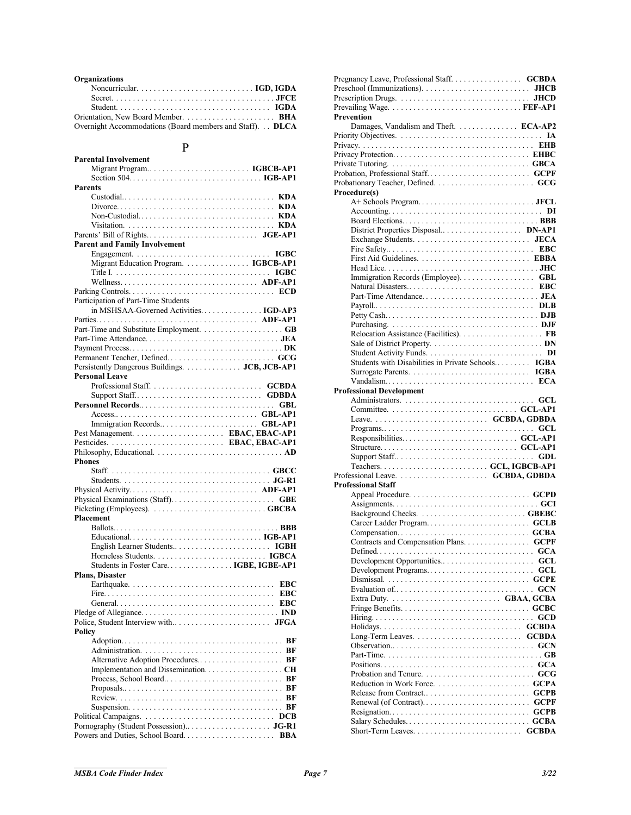#### **Organizations**

| Overnight Accommodations (Board members and Staff). DLCA |  |
|----------------------------------------------------------|--|

### P

| P                                              |
|------------------------------------------------|
| <b>Parental Involvement</b>                    |
| Migrant Program IGBCB-AP1                      |
|                                                |
| <b>Parents</b>                                 |
|                                                |
|                                                |
|                                                |
|                                                |
| <b>Parent and Family Involvement</b>           |
|                                                |
| Migrant Education Program. IGBCB-AP1           |
|                                                |
|                                                |
| Participation of Part-Time Students            |
| in MSHSAA-Governed Activities IGD-AP3          |
|                                                |
|                                                |
|                                                |
|                                                |
| Persistently Dangerous Buildings. JCB, JCB-AP1 |
| <b>Personal Leave</b>                          |
|                                                |
|                                                |
|                                                |
|                                                |
| Immigration Records GBL-AP1                    |
|                                                |
|                                                |
| <b>Phones</b>                                  |
|                                                |
|                                                |
|                                                |
|                                                |
| <b>Placement</b>                               |
|                                                |
|                                                |
|                                                |
|                                                |
| Students in Foster Care IGBE, IGBE-AP1         |
| <b>Plans. Disaster</b>                         |
|                                                |
|                                                |
| $\ldots$ EBC<br>General.                       |
|                                                |
| Policy                                         |
|                                                |
|                                                |
|                                                |
|                                                |
|                                                |
|                                                |
|                                                |
|                                                |
|                                                |
|                                                |

| Pregnancy Leave, Professional Staff. GCBDA         |             |
|----------------------------------------------------|-------------|
|                                                    |             |
|                                                    |             |
| Prevention                                         |             |
| Damages, Vandalism and Theft.  ECA-AP2             |             |
|                                                    |             |
|                                                    |             |
|                                                    |             |
|                                                    |             |
|                                                    |             |
| Procedure(s)                                       |             |
|                                                    |             |
|                                                    |             |
|                                                    |             |
| District Properties Disposal DN-AP1                |             |
|                                                    | <b>JECA</b> |
|                                                    |             |
|                                                    |             |
| Immigration Records (Employee). GBL                |             |
|                                                    |             |
|                                                    |             |
|                                                    |             |
| Petty CashDJB                                      |             |
|                                                    |             |
|                                                    |             |
|                                                    |             |
|                                                    |             |
| Students with Disabilities in Private Schools IGBA |             |
|                                                    |             |
| <b>Professional Development</b>                    |             |
|                                                    |             |
|                                                    |             |
|                                                    |             |
|                                                    |             |
|                                                    |             |
|                                                    |             |
|                                                    |             |
|                                                    |             |
|                                                    |             |
|                                                    |             |
| Professional Staff                                 |             |
|                                                    |             |
|                                                    |             |
|                                                    |             |
|                                                    |             |
|                                                    |             |
|                                                    |             |
|                                                    | GCL         |
| Development Programs                               | GCL         |
|                                                    |             |
|                                                    |             |
|                                                    |             |
|                                                    |             |
|                                                    |             |
|                                                    |             |
|                                                    |             |
|                                                    |             |
|                                                    |             |
|                                                    |             |
|                                                    |             |
|                                                    |             |
|                                                    |             |
|                                                    |             |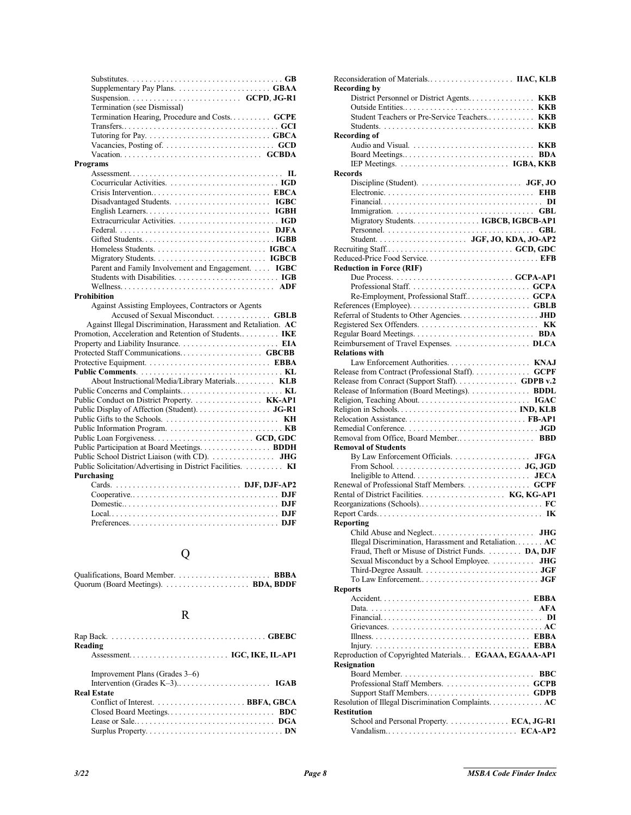| Supplementary Pay Plans.  GBAA                                 |  |
|----------------------------------------------------------------|--|
|                                                                |  |
| Termination (see Dismissal)                                    |  |
| Termination Hearing, Procedure and Costs GCPE                  |  |
|                                                                |  |
|                                                                |  |
|                                                                |  |
|                                                                |  |
| <b>Programs</b>                                                |  |
|                                                                |  |
|                                                                |  |
|                                                                |  |
|                                                                |  |
|                                                                |  |
|                                                                |  |
|                                                                |  |
|                                                                |  |
|                                                                |  |
|                                                                |  |
| Parent and Family Involvement and Engagement. IGBC             |  |
|                                                                |  |
|                                                                |  |
| <b>Prohibition</b>                                             |  |
|                                                                |  |
| Against Assisting Employees, Contractors or Agents             |  |
| Accused of Sexual Misconduct. GBLB                             |  |
| Against Illegal Discrimination, Harassment and Retaliation. AC |  |
| Promotion, Acceleration and Retention of Students IKE          |  |
|                                                                |  |
|                                                                |  |
|                                                                |  |
|                                                                |  |
| About Instructional/Media/Library Materials KLB                |  |
|                                                                |  |
| Public Conduct on District Property. KK-AP1                    |  |
| Public Display of Affection (Student). JG-R1                   |  |
|                                                                |  |
|                                                                |  |
|                                                                |  |
| Public Participation at Board Meetings. BDDH                   |  |
| Public School District Liaison (with CD).  JHG                 |  |
| Public Solicitation/Advertising in District Facilities. KI     |  |
| Purchasing                                                     |  |
|                                                                |  |
|                                                                |  |
|                                                                |  |
|                                                                |  |

# Q

# R

| Reading                                       |
|-----------------------------------------------|
|                                               |
| Improvement Plans (Grades 3–6)<br>Real Estate |
|                                               |

| <b>Recording by</b>                                     |
|---------------------------------------------------------|
| District Personnel or District Agents KKB               |
|                                                         |
| Student Teachers or Pre-Service Teachers KKB            |
|                                                         |
|                                                         |
| <b>Recording of</b>                                     |
|                                                         |
|                                                         |
|                                                         |
| <b>Records</b>                                          |
|                                                         |
|                                                         |
|                                                         |
|                                                         |
|                                                         |
| Migratory Students. IGBCB, IGBCB-AP1                    |
|                                                         |
|                                                         |
|                                                         |
|                                                         |
| Reduced-Price Food Service EFB                          |
| <b>Reduction in Force (RIF)</b>                         |
|                                                         |
|                                                         |
|                                                         |
| Re-Employment, Professional Staff GCPA                  |
|                                                         |
|                                                         |
| Referral of Students to Other Agencies. JHD             |
|                                                         |
|                                                         |
| Reimbursement of Travel Expenses.  DLCA                 |
| <b>Relations with</b>                                   |
|                                                         |
|                                                         |
| Release from Contract (Professional Staff). GCPF        |
| Release from Conract (Support Staff) GDPB v.2           |
| Release of Information (Board Meetings). BDDL           |
|                                                         |
|                                                         |
|                                                         |
|                                                         |
|                                                         |
|                                                         |
| <b>Removal of Students</b>                              |
|                                                         |
|                                                         |
| By Law Enforcement Officials. JFGA                      |
|                                                         |
|                                                         |
|                                                         |
| Renewal of Professional Staff Members. GCPF             |
|                                                         |
|                                                         |
|                                                         |
| Reporting                                               |
| <b>JHG</b>                                              |
|                                                         |
| Illegal Discrimination, Harassment and Retaliation $AC$ |
| Fraud, Theft or Misuse of District Funds. DA, DJF       |
| Sexual Misconduct by a School Employee.  JHG            |
|                                                         |
|                                                         |
|                                                         |
| <b>Reports</b>                                          |
|                                                         |
|                                                         |
| DI                                                      |
|                                                         |
|                                                         |
|                                                         |
|                                                         |
| Reproduction of Copyrighted Materials EGAAA, EGAAA-AP1  |
| <b>Resignation</b>                                      |
| <b>BBC</b>                                              |
|                                                         |
|                                                         |
|                                                         |
| Resolution of Illegal Discrimination Complaints AC      |
| <b>Restitution</b>                                      |
| School and Personal Property. ECA, JG-R1                |
|                                                         |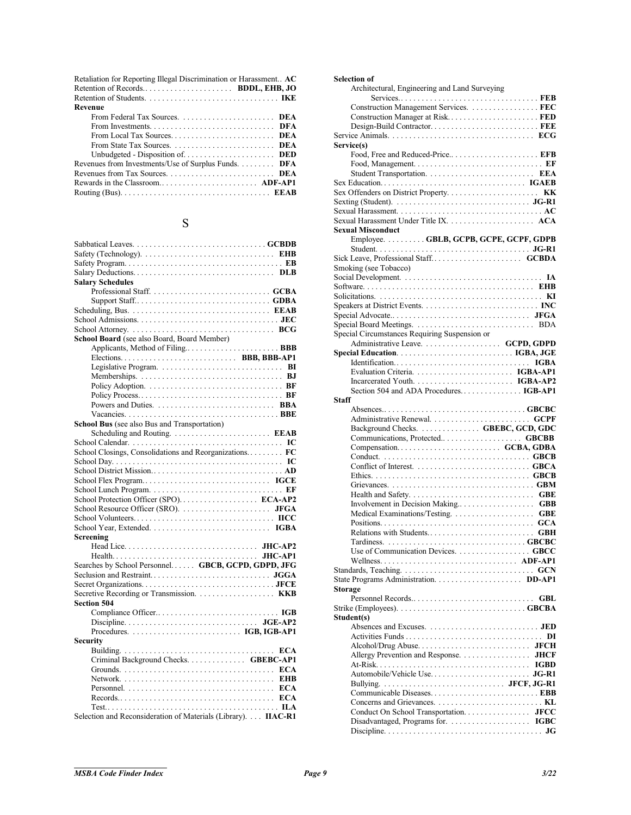| Retaliation for Reporting Illegal Discrimination or Harassment AC |
|-------------------------------------------------------------------|
|                                                                   |
|                                                                   |
| Revenue                                                           |
| From Federal Tax Sources. $\ldots$ , DEA                          |
|                                                                   |
|                                                                   |
|                                                                   |
|                                                                   |
| Revenues from Investments/Use of Surplus Funds DFA                |
|                                                                   |
| Rewards in the Classroom ADF-AP1                                  |
|                                                                   |

# S

| Safety (Technology). $\dots \dots \dots \dots \dots \dots \dots \dots \dots \dots$ |
|------------------------------------------------------------------------------------|
|                                                                                    |
|                                                                                    |
| <b>Salary Schedules</b>                                                            |
|                                                                                    |
|                                                                                    |
|                                                                                    |
|                                                                                    |
|                                                                                    |
| <b>School Board</b> (see also Board, Board Member)                                 |
|                                                                                    |
| Elections BBB, BBB-AP1                                                             |
|                                                                                    |
|                                                                                    |
|                                                                                    |
|                                                                                    |
|                                                                                    |
|                                                                                    |
| <b>School Bus</b> (see also Bus and Transportation)                                |
|                                                                                    |
|                                                                                    |
| School Closings, Consolidations and Reorganizations FC                             |
|                                                                                    |
|                                                                                    |
|                                                                                    |
|                                                                                    |
| School Protection Officer (SPO) ECA-AP2                                            |
|                                                                                    |
|                                                                                    |
|                                                                                    |
| Screening                                                                          |
|                                                                                    |
|                                                                                    |
| Searches by School Personnel GBCB, GCPD, GDPD, JFG                                 |
|                                                                                    |
|                                                                                    |
|                                                                                    |
| <b>Section 504</b>                                                                 |
|                                                                                    |
|                                                                                    |
|                                                                                    |
| <b>Security</b>                                                                    |
|                                                                                    |
| Criminal Background Checks. GBEBC-AP1                                              |
|                                                                                    |
|                                                                                    |
|                                                                                    |
| $Recards$ $ECA$                                                                    |
|                                                                                    |
| Selection and Reconsideration of Materials (Library). IIAC-R1                      |
|                                                                                    |

| <b>Selection of</b>                                                                                             |
|-----------------------------------------------------------------------------------------------------------------|
| Architectural, Engineering and Land Surveying                                                                   |
| Construction Management Services. FEC                                                                           |
| Construction Manager at Risk FED                                                                                |
|                                                                                                                 |
|                                                                                                                 |
| Service(s)                                                                                                      |
|                                                                                                                 |
|                                                                                                                 |
|                                                                                                                 |
|                                                                                                                 |
|                                                                                                                 |
| Sexting (Student). $\dots \dots \dots \dots \dots \dots \dots \dots \dots \dots \dots \dots \dots \text{JG-R1}$ |
|                                                                                                                 |
|                                                                                                                 |
| <b>Sexual Misconduct</b>                                                                                        |
| Employee. GBLB, GCPB, GCPE, GCPF, GDPB                                                                          |
|                                                                                                                 |
|                                                                                                                 |
| Smoking (see Tobacco)                                                                                           |
|                                                                                                                 |
|                                                                                                                 |
|                                                                                                                 |
|                                                                                                                 |
|                                                                                                                 |
| Special Circumstances Requiring Suspension or                                                                   |
| Administrative Leave. GCPD, GDPD                                                                                |
|                                                                                                                 |
|                                                                                                                 |
|                                                                                                                 |
|                                                                                                                 |
| Section 504 and ADA Procedures IGB-AP1                                                                          |
| <b>Staff</b>                                                                                                    |
|                                                                                                                 |
|                                                                                                                 |
|                                                                                                                 |
| Background Checks.  GBEBC, GCD, GDC                                                                             |
|                                                                                                                 |
| Compensation GCBA, GDBA                                                                                         |
|                                                                                                                 |
|                                                                                                                 |
|                                                                                                                 |
|                                                                                                                 |
|                                                                                                                 |
|                                                                                                                 |
|                                                                                                                 |
|                                                                                                                 |
|                                                                                                                 |
|                                                                                                                 |
| Use of Communication Devices. GBCC                                                                              |
|                                                                                                                 |
|                                                                                                                 |
| <b>Storage</b>                                                                                                  |
|                                                                                                                 |
|                                                                                                                 |
| Student(s)                                                                                                      |
|                                                                                                                 |
|                                                                                                                 |
|                                                                                                                 |
| Allergy Prevention and Response. JHCF                                                                           |
|                                                                                                                 |
|                                                                                                                 |
|                                                                                                                 |
|                                                                                                                 |
|                                                                                                                 |
| Conduct On School Transportation. JFCC                                                                          |
|                                                                                                                 |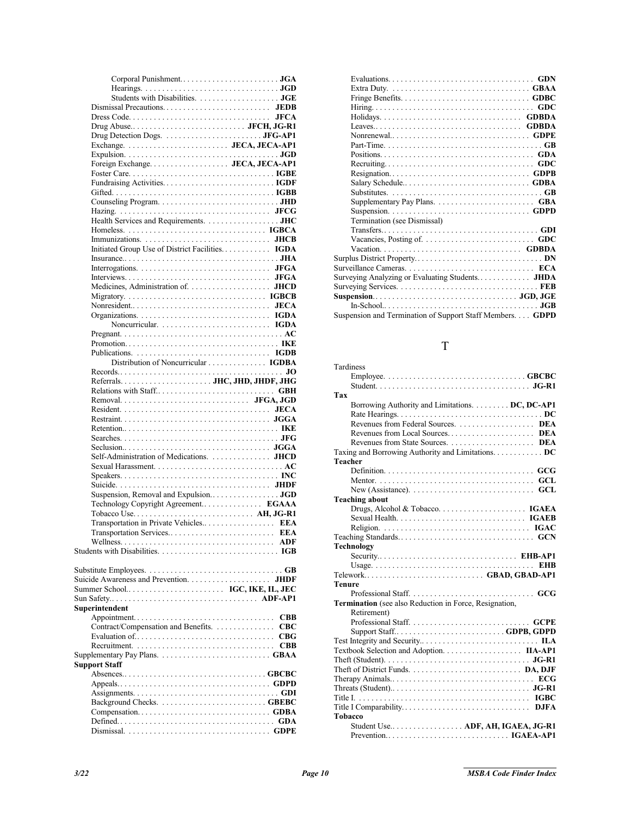| Health Services and Requirements. JHC                                             |
|-----------------------------------------------------------------------------------|
|                                                                                   |
|                                                                                   |
| Initiated Group Use of District Facilities IGDA                                   |
|                                                                                   |
|                                                                                   |
|                                                                                   |
|                                                                                   |
|                                                                                   |
|                                                                                   |
|                                                                                   |
|                                                                                   |
|                                                                                   |
|                                                                                   |
|                                                                                   |
| Distribution of Noncurricular IGDBA                                               |
|                                                                                   |
|                                                                                   |
|                                                                                   |
|                                                                                   |
|                                                                                   |
|                                                                                   |
|                                                                                   |
|                                                                                   |
|                                                                                   |
|                                                                                   |
| Self-Administration of Medications.  JHCD                                         |
|                                                                                   |
|                                                                                   |
|                                                                                   |
|                                                                                   |
| Technology Copyright Agreement EGAAA                                              |
|                                                                                   |
| Transportation in Private Vehicles EEA                                            |
|                                                                                   |
|                                                                                   |
|                                                                                   |
|                                                                                   |
|                                                                                   |
|                                                                                   |
|                                                                                   |
| Superintendent                                                                    |
| <b>CBB</b>                                                                        |
| Contract/Compensation and Benefits.<br>$_{\rm CBC}$                               |
| CBG                                                                               |
| <b>CBB</b>                                                                        |
| Supplementary Pay Plans. $\dots \dots \dots \dots \dots \dots \dots \dots$ . GBAA |
| <b>Support Staff</b>                                                              |
|                                                                                   |
|                                                                                   |
|                                                                                   |
|                                                                                   |
|                                                                                   |
|                                                                                   |

| Supplementary Pay Plans. $\dots \dots \dots \dots \dots \dots \dots$ GBA |
|--------------------------------------------------------------------------|
|                                                                          |
| Termination (see Dismissal)                                              |
|                                                                          |
|                                                                          |
|                                                                          |
|                                                                          |
|                                                                          |
|                                                                          |
|                                                                          |
|                                                                          |
|                                                                          |
| Suspension and Termination of Support Staff Members. GDPD                |
|                                                                          |

# T

| Tardiness                                              |
|--------------------------------------------------------|
|                                                        |
|                                                        |
| Tax                                                    |
| Borrowing Authority and Limitations. DC, DC-AP1        |
|                                                        |
|                                                        |
|                                                        |
|                                                        |
|                                                        |
| <b>Teacher</b>                                         |
|                                                        |
|                                                        |
|                                                        |
| <b>Teaching about</b>                                  |
|                                                        |
|                                                        |
|                                                        |
|                                                        |
| <b>Technology</b>                                      |
| Security EHB-AP1                                       |
|                                                        |
|                                                        |
| Telework GBAD, GBAD-AP1                                |
| Tenure                                                 |
|                                                        |
| Termination (see also Reduction in Force, Resignation, |
| Retirement)                                            |
|                                                        |
|                                                        |
|                                                        |
| Textbook Selection and Adoption. IIA-AP1               |
|                                                        |
|                                                        |
|                                                        |
|                                                        |
|                                                        |
|                                                        |
| Tobacco                                                |
| Student Use ADF, AH, IGAEA, JG-R1                      |